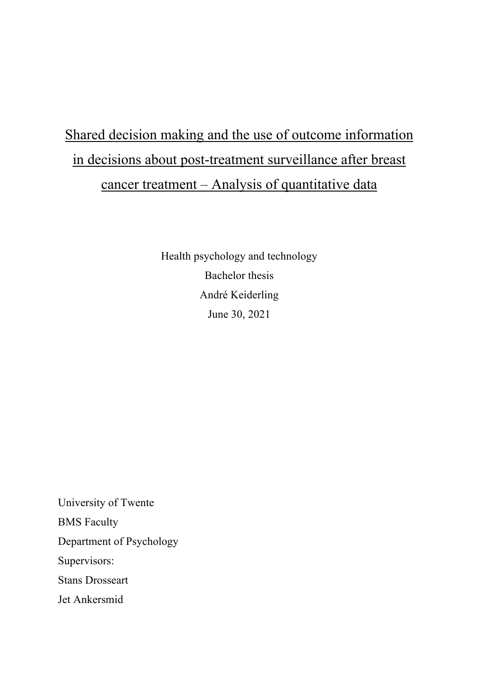# Shared decision making and the use of outcome information in decisions about post-treatment surveillance after breast cancer treatment – Analysis of quantitative data

Health psychology and technology Bachelor thesis André Keiderling June 30, 2021

University of Twente BMS Faculty Department of Psychology Supervisors: Stans Drosseart Jet Ankersmid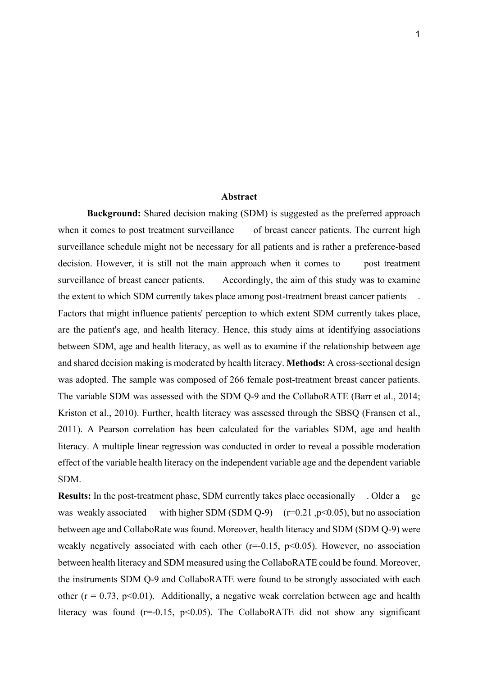#### **Abstract**

**Background:** Shared decision making (SDM) is suggested as the preferred approach when it comes to post treatment surveillance of breast cancer patients. The current high surveillance schedule might not be necessary for all patients and is rather a preference-based decision. However, it is still not the main approach when it comes to post treatment surveillance of breast cancer patients. Accordingly, the aim of this study was to examine the extent to which SDM currently takes place among post-treatment breast cancer patients . Factors that might influence patients' perception to which extent SDM currently takes place, are the patient's age, and health literacy. Hence, this study aims at identifying associations between SDM, age and health literacy, as well as to examine if the relationship between age and shared decision making is moderated by health literacy. **Methods:** A cross-sectional design was adopted. The sample was composed of 266 female post-treatment breast cancer patients. The variable SDM was assessed with the SDM Q-9 and the CollaboRATE (Barr et al., 2014; Kriston et al., 2010). Further, health literacy was assessed through the SBSQ (Fransen et al., 2011). A Pearson correlation has been calculated for the variables SDM, age and health literacy. A multiple linear regression was conducted in order to reveal a possible moderation effect of the variable health literacy on the independent variable age and the dependent variable SDM.

**Results:** In the post-treatment phase, SDM currently takes place occasionally . Older a ge was weakly associated with higher SDM (SDM Q-9)  $(r=0.21, p<0.05)$ , but no association between age and CollaboRate was found. Moreover, health literacy and SDM (SDM Q-9) were weakly negatively associated with each other  $(r=0.15, p<0.05)$ . However, no association between health literacy and SDM measured using the CollaboRATE could be found. Moreover, the instruments SDM Q-9 and CollaboRATE were found to be strongly associated with each other ( $r = 0.73$ ,  $p < 0.01$ ). Additionally, a negative weak correlation between age and health literacy was found ( $r=0.15$ ,  $p<0.05$ ). The CollaboRATE did not show any significant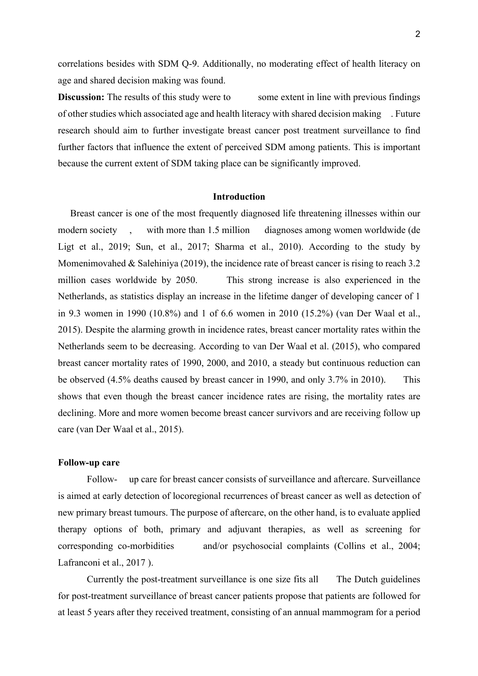correlations besides with SDM Q-9. Additionally, no moderating effect of health literacy on age and shared decision making was found.

**Discussion:** The results of this study were to some extent in line with previous findings of other studies which associated age and health literacy with shared decision making . Future research should aim to further investigate breast cancer post treatment surveillance to find further factors that influence the extent of perceived SDM among patients. This is important because the current extent of SDM taking place can be significantly improved.

#### **Introduction**

 Breast cancer is one of the most frequently diagnosed life threatening illnesses within our modern society , with more than 1.5 million diagnoses among women worldwide (de Ligt et al., 2019; Sun, et al., 2017; Sharma et al., 2010). According to the study by Momenimovahed  $&$  Salehiniya (2019), the incidence rate of breast cancer is rising to reach 3.2 million cases worldwide by 2050. This strong increase is also experienced in the Netherlands, as statistics display an increase in the lifetime danger of developing cancer of 1 in 9.3 women in 1990 (10.8%) and 1 of 6.6 women in 2010 (15.2%) (van Der Waal et al., 2015). Despite the alarming growth in incidence rates, breast cancer mortality rates within the Netherlands seem to be decreasing. According to van Der Waal et al. (2015), who compared breast cancer mortality rates of 1990, 2000, and 2010, a steady but continuous reduction can be observed (4.5% deaths caused by breast cancer in 1990, and only 3.7% in 2010). This shows that even though the breast cancer incidence rates are rising, the mortality rates are declining. More and more women become breast cancer survivors and are receiving follow up care (van Der Waal et al., 2015).

#### **Follow-up care**

Follow- up care for breast cancer consists of surveillance and aftercare. Surveillance is aimed at early detection of locoregional recurrences of breast cancer as well as detection of new primary breast tumours. The purpose of aftercare, on the other hand, is to evaluate applied therapy options of both, primary and adjuvant therapies, as well as screening for corresponding co-morbidities and/or psychosocial complaints (Collins et al., 2004; Lafranconi et al., 2017 ).

Currently the post-treatment surveillance is one size fits all The Dutch guidelines for post-treatment surveillance of breast cancer patients propose that patients are followed for at least 5 years after they received treatment, consisting of an annual mammogram for a period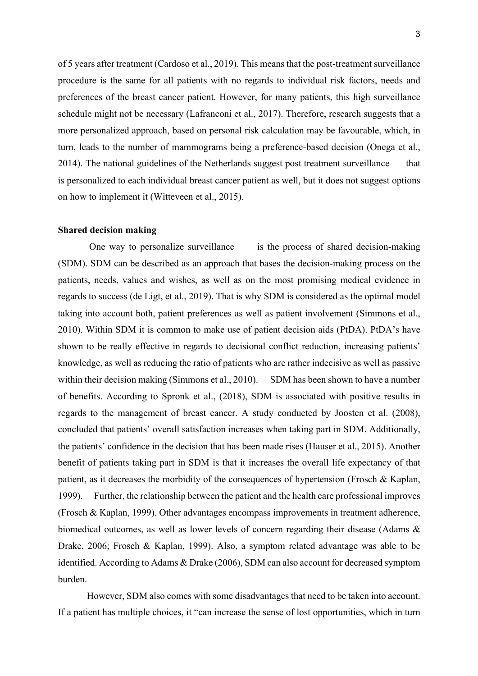of 5 years after treatment (Cardoso et al., 2019). This means that the post-treatment surveillance procedure is the same for all patients with no regards to individual risk factors, needs and preferences of the breast cancer patient. However, for many patients, this high surveillance schedule might not be necessary (Lafranconi et al., 2017). Therefore, research suggests that a more personalized approach, based on personal risk calculation may be favourable, which, in turn, leads to the number of mammograms being a preference-based decision (Onega et al., 2014). The national guidelines of the Netherlands suggest post treatment surveillance that is personalized to each individual breast cancer patient as well, but it does not suggest options on how to implement it (Witteveen et al., 2015).

#### **Shared decision making**

One way to personalize surveillance is the process of shared decision-making (SDM). SDM can be described as an approach that bases the decision-making process on the patients, needs, values and wishes, as well as on the most promising medical evidence in regards to success (de Ligt, et al., 2019). That is why SDM is considered as the optimal model taking into account both, patient preferences as well as patient involvement (Simmons et al., 2010). Within SDM it is common to make use of patient decision aids (PtDA). PtDA's have shown to be really effective in regards to decisional conflict reduction, increasing patients' knowledge, as well as reducing the ratio of patients who are rather indecisive as well as passive within their decision making (Simmons et al., 2010). SDM has been shown to have a number of benefits. According to Spronk et al., (2018), SDM is associated with positive results in regards to the management of breast cancer. A study conducted by Joosten et al. (2008), concluded that patients' overall satisfaction increases when taking part in SDM. Additionally, the patients' confidence in the decision that has been made rises (Hauser et al., 2015). Another benefit of patients taking part in SDM is that it increases the overall life expectancy of that patient, as it decreases the morbidity of the consequences of hypertension (Frosch & Kaplan, 1999). Further, the relationship between the patient and the health care professional improves (Frosch & Kaplan, 1999). Other advantages encompass improvements in treatment adherence, biomedical outcomes, as well as lower levels of concern regarding their disease (Adams & Drake, 2006; Frosch & Kaplan, 1999). Also, a symptom related advantage was able to be identified. According to Adams & Drake (2006), SDM can also account for decreased symptom burden.

However, SDM also comes with some disadvantages that need to be taken into account. If a patient has multiple choices, it "can increase the sense of lost opportunities, which in turn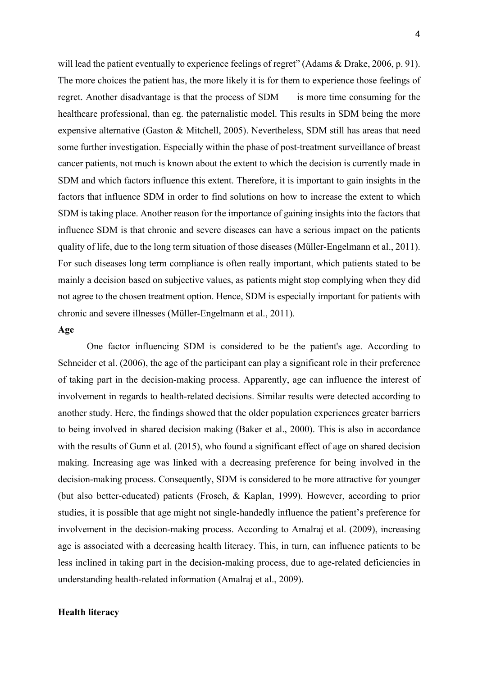will lead the patient eventually to experience feelings of regret" (Adams & Drake, 2006, p. 91). The more choices the patient has, the more likely it is for them to experience those feelings of regret. Another disadvantage is that the process of SDM is more time consuming for the healthcare professional, than eg. the paternalistic model. This results in SDM being the more expensive alternative (Gaston & Mitchell, 2005). Nevertheless, SDM still has areas that need some further investigation. Especially within the phase of post-treatment surveillance of breast cancer patients, not much is known about the extent to which the decision is currently made in SDM and which factors influence this extent. Therefore, it is important to gain insights in the factors that influence SDM in order to find solutions on how to increase the extent to which SDM is taking place. Another reason for the importance of gaining insights into the factors that influence SDM is that chronic and severe diseases can have a serious impact on the patients quality of life, due to the long term situation of those diseases (Müller-Engelmann et al., 2011). For such diseases long term compliance is often really important, which patients stated to be mainly a decision based on subjective values, as patients might stop complying when they did not agree to the chosen treatment option. Hence, SDM is especially important for patients with chronic and severe illnesses (Müller-Engelmann et al., 2011).

# **Age**

One factor influencing SDM is considered to be the patient's age. According to Schneider et al. (2006), the age of the participant can play a significant role in their preference of taking part in the decision-making process. Apparently, age can influence the interest of involvement in regards to health-related decisions. Similar results were detected according to another study. Here, the findings showed that the older population experiences greater barriers to being involved in shared decision making (Baker et al., 2000). This is also in accordance with the results of Gunn et al. (2015), who found a significant effect of age on shared decision making. Increasing age was linked with a decreasing preference for being involved in the decision-making process. Consequently, SDM is considered to be more attractive for younger (but also better-educated) patients (Frosch, & Kaplan, 1999). However, according to prior studies, it is possible that age might not single-handedly influence the patient's preference for involvement in the decision-making process. According to Amalraj et al. (2009), increasing age is associated with a decreasing health literacy. This, in turn, can influence patients to be less inclined in taking part in the decision-making process, due to age-related deficiencies in understanding health-related information (Amalraj et al., 2009).

## **Health literacy**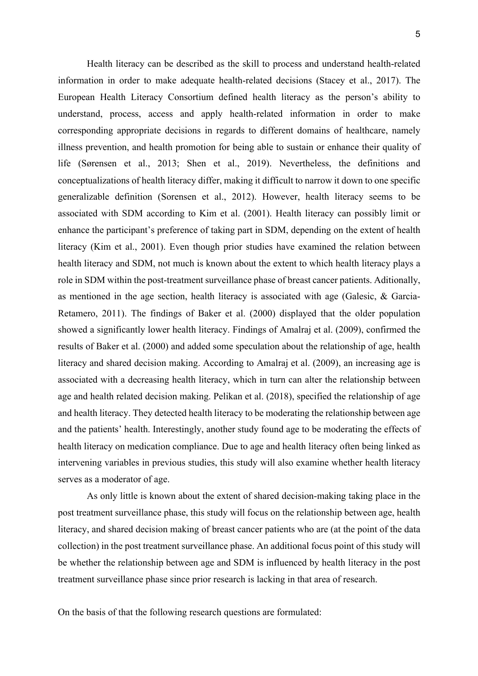Health literacy can be described as the skill to process and understand health-related information in order to make adequate health-related decisions (Stacey et al., 2017). The European Health Literacy Consortium defined health literacy as the person's ability to understand, process, access and apply health-related information in order to make corresponding appropriate decisions in regards to different domains of healthcare, namely illness prevention, and health promotion for being able to sustain or enhance their quality of life (Sørensen et al., 2013; Shen et al., 2019). Nevertheless, the definitions and conceptualizations of health literacy differ, making it difficult to narrow it down to one specific generalizable definition (Sorensen et al., 2012). However, health literacy seems to be associated with SDM according to Kim et al. (2001). Health literacy can possibly limit or enhance the participant's preference of taking part in SDM, depending on the extent of health literacy (Kim et al., 2001). Even though prior studies have examined the relation between health literacy and SDM, not much is known about the extent to which health literacy plays a role in SDM within the post-treatment surveillance phase of breast cancer patients. Aditionally, as mentioned in the age section, health literacy is associated with age (Galesic, & Garcia-Retamero, 2011). The findings of Baker et al. (2000) displayed that the older population showed a significantly lower health literacy. Findings of Amalraj et al. (2009), confirmed the results of Baker et al. (2000) and added some speculation about the relationship of age, health literacy and shared decision making. According to Amalraj et al. (2009), an increasing age is associated with a decreasing health literacy, which in turn can alter the relationship between age and health related decision making. Pelikan et al. (2018), specified the relationship of age and health literacy. They detected health literacy to be moderating the relationship between age and the patients' health. Interestingly, another study found age to be moderating the effects of health literacy on medication compliance. Due to age and health literacy often being linked as intervening variables in previous studies, this study will also examine whether health literacy

As only little is known about the extent of shared decision-making taking place in the post treatment surveillance phase, this study will focus on the relationship between age, health literacy, and shared decision making of breast cancer patients who are (at the point of the data collection) in the post treatment surveillance phase. An additional focus point of this study will be whether the relationship between age and SDM is influenced by health literacy in the post treatment surveillance phase since prior research is lacking in that area of research.

On the basis of that the following research questions are formulated:

serves as a moderator of age.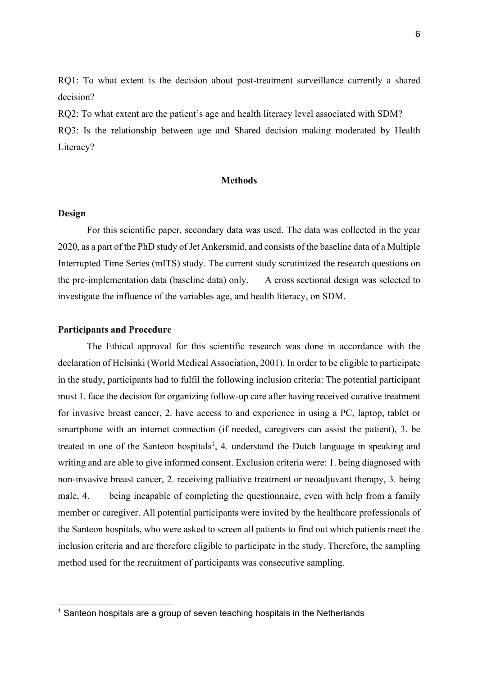RQ1: To what extent is the decision about post-treatment surveillance currently a shared decision?

RQ2: To what extent are the patient's age and health literacy level associated with SDM? RQ3: Is the relationship between age and Shared decision making moderated by Health Literacy?

#### **Methods**

#### **Design**

For this scientific paper, secondary data was used. The data was collected in the year 2020, as a part of the PhD study of Jet Ankersmid, and consists of the baseline data of a Multiple Interrupted Time Series (mITS) study. The current study scrutinized the research questions on the pre-implementation data (baseline data) only. A cross sectional design was selected to investigate the influence of the variables age, and health literacy, on SDM.

# **Participants and Procedure**

The Ethical approval for this scientific research was done in accordance with the declaration of Helsinki (World Medical Association, 2001). In order to be eligible to participate in the study, participants had to fulfil the following inclusion criteria: The potential participant must 1. face the decision for organizing follow-up care after having received curative treatment for invasive breast cancer, 2. have access to and experience in using a PC, laptop, tablet or smartphone with an internet connection (if needed, caregivers can assist the patient), 3. be treated in one of the Santeon hospitals<sup>1</sup>, 4. understand the Dutch language in speaking and writing and are able to give informed consent. Exclusion criteria were: 1. being diagnosed with non-invasive breast cancer, 2. receiving palliative treatment or neoadjuvant therapy, 3. being male, 4. being incapable of completing the questionnaire, even with help from a family member or caregiver. All potential participants were invited by the healthcare professionals of the Santeon hospitals, who were asked to screen all patients to find out which patients meet the inclusion criteria and are therefore eligible to participate in the study. Therefore, the sampling method used for the recruitment of participants was consecutive sampling.

 $1$  Santeon hospitals are a group of seven teaching hospitals in the Netherlands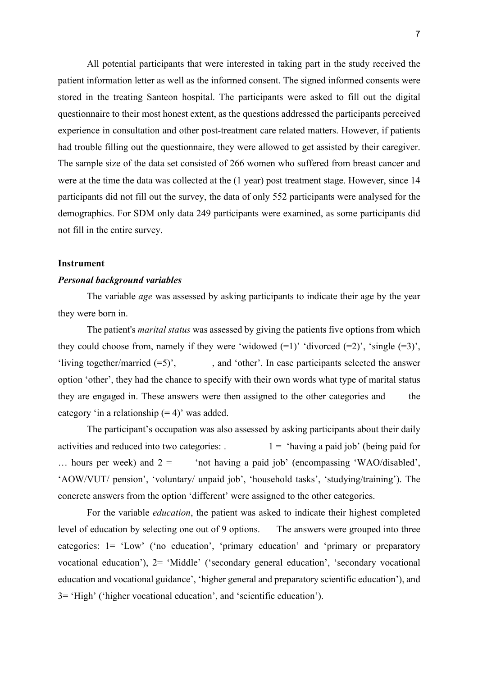All potential participants that were interested in taking part in the study received the patient information letter as well as the informed consent. The signed informed consents were stored in the treating Santeon hospital. The participants were asked to fill out the digital questionnaire to their most honest extent, as the questions addressed the participants perceived experience in consultation and other post-treatment care related matters. However, if patients had trouble filling out the questionnaire, they were allowed to get assisted by their caregiver. The sample size of the data set consisted of 266 women who suffered from breast cancer and were at the time the data was collected at the (1 year) post treatment stage. However, since 14 participants did not fill out the survey, the data of only 552 participants were analysed for the demographics. For SDM only data 249 participants were examined, as some participants did not fill in the entire survey.

#### **Instrument**

#### *Personal background variables*

The variable *age* was assessed by asking participants to indicate their age by the year they were born in.

The patient's *marital status* was assessed by giving the patients five options from which they could choose from, namely if they were 'widowed  $(=1)$ ' 'divorced  $(=2)$ ', 'single  $(=3)$ ', 'living together/married  $(=5)$ ', and 'other'. In case participants selected the answer option 'other', they had the chance to specify with their own words what type of marital status they are engaged in. These answers were then assigned to the other categories and the category 'in a relationship  $(= 4)$ ' was added.

The participant's occupation was also assessed by asking participants about their daily activities and reduced into two categories:  $1 = 'having a paid job' (being paid for)$ ... hours per week) and  $2 =$  'not having a paid job' (encompassing 'WAO/disabled', 'AOW/VUT/ pension', 'voluntary/ unpaid job', 'household tasks', 'studying/training'). The concrete answers from the option 'different' were assigned to the other categories.

For the variable *education*, the patient was asked to indicate their highest completed level of education by selecting one out of 9 options. The answers were grouped into three categories: 1= 'Low' ('no education', 'primary education' and 'primary or preparatory vocational education'), 2= 'Middle' ('secondary general education', 'secondary vocational education and vocational guidance', 'higher general and preparatory scientific education'), and 3= 'High' ('higher vocational education', and 'scientific education').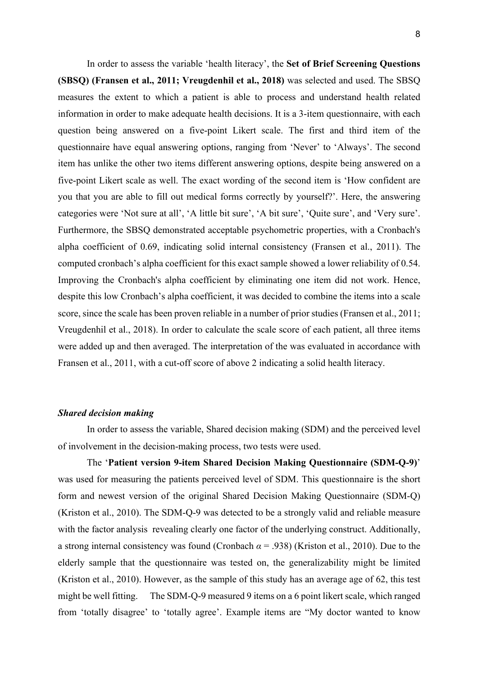In order to assess the variable 'health literacy', the **Set of Brief Screening Questions (SBSQ) (Fransen et al., 2011; Vreugdenhil et al., 2018)** was selected and used. The SBSQ measures the extent to which a patient is able to process and understand health related information in order to make adequate health decisions. It is a 3-item questionnaire, with each question being answered on a five-point Likert scale. The first and third item of the questionnaire have equal answering options, ranging from 'Never' to 'Always'. The second item has unlike the other two items different answering options, despite being answered on a five-point Likert scale as well. The exact wording of the second item is 'How confident are you that you are able to fill out medical forms correctly by yourself?'. Here, the answering categories were 'Not sure at all', 'A little bit sure', 'A bit sure', 'Quite sure', and 'Very sure'. Furthermore, the SBSQ demonstrated acceptable psychometric properties, with a Cronbach's alpha coefficient of 0.69, indicating solid internal consistency (Fransen et al., 2011). The computed cronbach's alpha coefficient for this exact sample showed a lower reliability of 0.54. Improving the Cronbach's alpha coefficient by eliminating one item did not work. Hence, despite this low Cronbach's alpha coefficient, it was decided to combine the items into a scale score, since the scale has been proven reliable in a number of prior studies (Fransen et al., 2011; Vreugdenhil et al., 2018). In order to calculate the scale score of each patient, all three items were added up and then averaged. The interpretation of the was evaluated in accordance with Fransen et al., 2011, with a cut-off score of above 2 indicating a solid health literacy.

### *Shared decision making*

In order to assess the variable, Shared decision making (SDM) and the perceived level of involvement in the decision-making process, two tests were used.

The '**Patient version 9-item Shared Decision Making Questionnaire (SDM-Q-9)**' was used for measuring the patients perceived level of SDM. This questionnaire is the short form and newest version of the original Shared Decision Making Questionnaire (SDM-Q) (Kriston et al., 2010). The SDM-Q-9 was detected to be a strongly valid and reliable measure with the factor analysis revealing clearly one factor of the underlying construct. Additionally, a strong internal consistency was found (Cronbach *α* = .938) (Kriston et al., 2010). Due to the elderly sample that the questionnaire was tested on, the generalizability might be limited (Kriston et al., 2010). However, as the sample of this study has an average age of 62, this test might be well fitting. The SDM-Q-9 measured 9 items on a 6 point likert scale, which ranged from 'totally disagree' to 'totally agree'. Example items are "My doctor wanted to know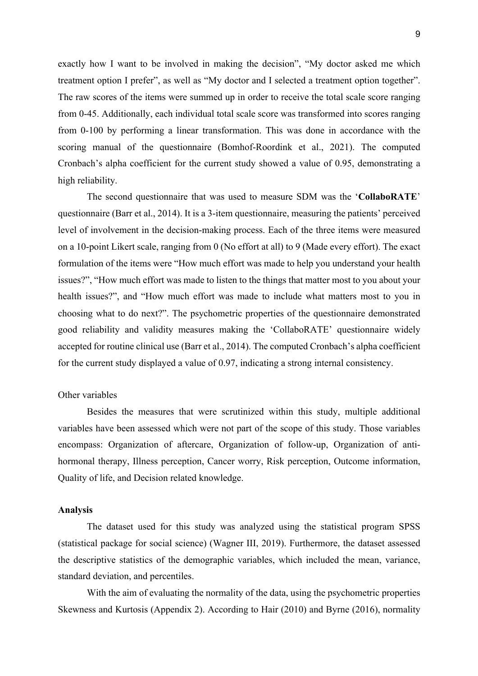exactly how I want to be involved in making the decision", "My doctor asked me which treatment option I prefer", as well as "My doctor and I selected a treatment option together". The raw scores of the items were summed up in order to receive the total scale score ranging from 0-45. Additionally, each individual total scale score was transformed into scores ranging from 0-100 by performing a linear transformation. This was done in accordance with the scoring manual of the questionnaire (Bomhof-Roordink et al., 2021). The computed Cronbach's alpha coefficient for the current study showed a value of 0.95, demonstrating a high reliability.

The second questionnaire that was used to measure SDM was the '**CollaboRATE**' questionnaire (Barr et al., 2014). It is a 3-item questionnaire, measuring the patients' perceived level of involvement in the decision-making process. Each of the three items were measured on a 10-point Likert scale, ranging from 0 (No effort at all) to 9 (Made every effort). The exact formulation of the items were "How much effort was made to help you understand your health issues?", "How much effort was made to listen to the things that matter most to you about your health issues?", and "How much effort was made to include what matters most to you in choosing what to do next?". The psychometric properties of the questionnaire demonstrated good reliability and validity measures making the 'CollaboRATE' questionnaire widely accepted for routine clinical use (Barr et al., 2014). The computed Cronbach's alpha coefficient for the current study displayed a value of 0.97, indicating a strong internal consistency.

#### Other variables

Besides the measures that were scrutinized within this study, multiple additional variables have been assessed which were not part of the scope of this study. Those variables encompass: Organization of aftercare, Organization of follow-up, Organization of antihormonal therapy, Illness perception, Cancer worry, Risk perception, Outcome information, Quality of life, and Decision related knowledge.

#### **Analysis**

The dataset used for this study was analyzed using the statistical program SPSS (statistical package for social science) (Wagner III, 2019). Furthermore, the dataset assessed the descriptive statistics of the demographic variables, which included the mean, variance, standard deviation, and percentiles.

With the aim of evaluating the normality of the data, using the psychometric properties Skewness and Kurtosis (Appendix 2). According to Hair (2010) and Byrne (2016), normality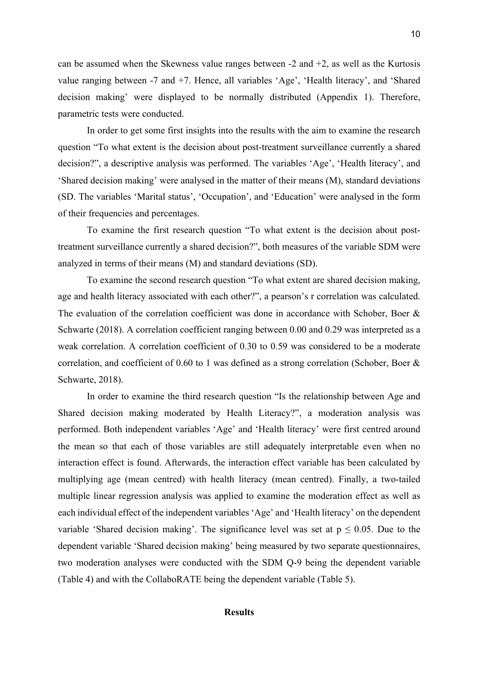can be assumed when the Skewness value ranges between  $-2$  and  $+2$ , as well as the Kurtosis value ranging between -7 and +7. Hence, all variables 'Age', 'Health literacy', and 'Shared decision making' were displayed to be normally distributed (Appendix 1). Therefore, parametric tests were conducted.

In order to get some first insights into the results with the aim to examine the research question "To what extent is the decision about post-treatment surveillance currently a shared decision?", a descriptive analysis was performed. The variables 'Age', 'Health literacy', and 'Shared decision making' were analysed in the matter of their means (M), standard deviations (SD. The variables 'Marital status', 'Occupation', and 'Education' were analysed in the form of their frequencies and percentages.

To examine the first research question "To what extent is the decision about posttreatment surveillance currently a shared decision?", both measures of the variable SDM were analyzed in terms of their means (M) and standard deviations (SD).

To examine the second research question "To what extent are shared decision making, age and health literacy associated with each other?", a pearson's r correlation was calculated. The evaluation of the correlation coefficient was done in accordance with Schober, Boer & Schwarte (2018). A correlation coefficient ranging between 0.00 and 0.29 was interpreted as a weak correlation. A correlation coefficient of 0.30 to 0.59 was considered to be a moderate correlation, and coefficient of 0.60 to 1 was defined as a strong correlation (Schober, Boer  $\&$ Schwarte, 2018).

In order to examine the third research question "Is the relationship between Age and Shared decision making moderated by Health Literacy?", a moderation analysis was performed. Both independent variables 'Age' and 'Health literacy' were first centred around the mean so that each of those variables are still adequately interpretable even when no interaction effect is found. Afterwards, the interaction effect variable has been calculated by multiplying age (mean centred) with health literacy (mean centred). Finally, a two-tailed multiple linear regression analysis was applied to examine the moderation effect as well as each individual effect of the independent variables 'Age' and 'Health literacy' on the dependent variable 'Shared decision making'. The significance level was set at  $p \le 0.05$ . Due to the dependent variable 'Shared decision making' being measured by two separate questionnaires, two moderation analyses were conducted with the SDM Q-9 being the dependent variable (Table 4) and with the CollaboRATE being the dependent variable (Table 5).

# **Results**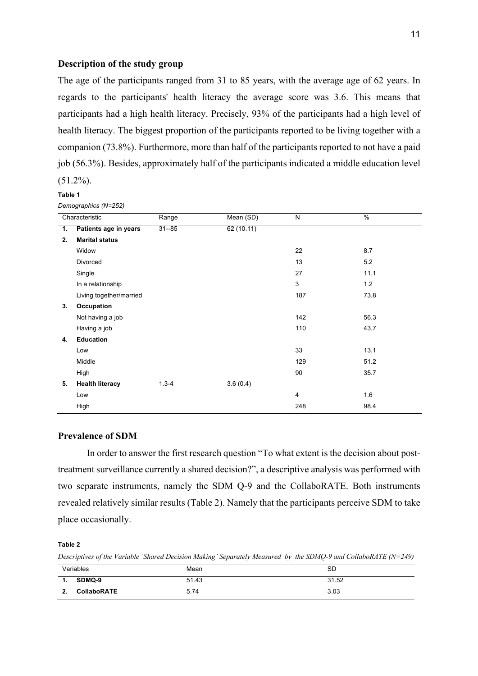### **Description of the study group**

The age of the participants ranged from 31 to 85 years, with the average age of 62 years. In regards to the participants' health literacy the average score was 3.6. This means that participants had a high health literacy. Precisely, 93% of the participants had a high level of health literacy. The biggest proportion of the participants reported to be living together with a companion (73.8%). Furthermore, more than half of the participants reported to not have a paid job (56.3%). Besides, approximately half of the participants indicated a middle education level (51.2%).

#### **Table 1**

*Demographics (N=252)*

| Characteristic |                         | Range     | Mean (SD) | N   | $\frac{0}{6}$ |
|----------------|-------------------------|-----------|-----------|-----|---------------|
| 1.             | Patients age in years   | $31 - 85$ | 62(10.11) |     |               |
| 2.             | <b>Marital status</b>   |           |           |     |               |
|                | Widow                   |           |           | 22  | 8.7           |
|                | Divorced                |           |           | 13  | 5.2           |
|                | Single                  |           |           | 27  | 11.1          |
|                | In a relationship       |           |           | 3   | 1.2           |
|                | Living together/married |           |           | 187 | 73.8          |
| 3.             | Occupation              |           |           |     |               |
|                | Not having a job        |           |           | 142 | 56.3          |
|                | Having a job            |           |           | 110 | 43.7          |
| 4.             | <b>Education</b>        |           |           |     |               |
|                | Low                     |           |           | 33  | 13.1          |
|                | Middle                  |           |           | 129 | 51.2          |
|                | High                    |           |           | 90  | 35.7          |
| 5.             | <b>Health literacy</b>  | $1.3 - 4$ | 3.6(0.4)  |     |               |
|                | Low                     |           |           | 4   | 1.6           |
|                | High                    |           |           | 248 | 98.4          |

### **Prevalence of SDM**

In order to answer the first research question "To what extent is the decision about posttreatment surveillance currently a shared decision?", a descriptive analysis was performed with two separate instruments, namely the SDM Q-9 and the CollaboRATE. Both instruments revealed relatively similar results (Table 2). Namely that the participants perceive SDM to take place occasionally.

#### **Table 2**

*Descriptives of the Variable 'Shared Decision Making' Separately Measured by the SDMQ-9 and CollaboRATE (N=249)*

|                | Variables          | Mean  | SD    |
|----------------|--------------------|-------|-------|
| $\mathbf{1}$ . | SDMQ-9             | 51.43 | 31.52 |
| ,<br>          | <b>CollaboRATE</b> | 5.74  | 3.03  |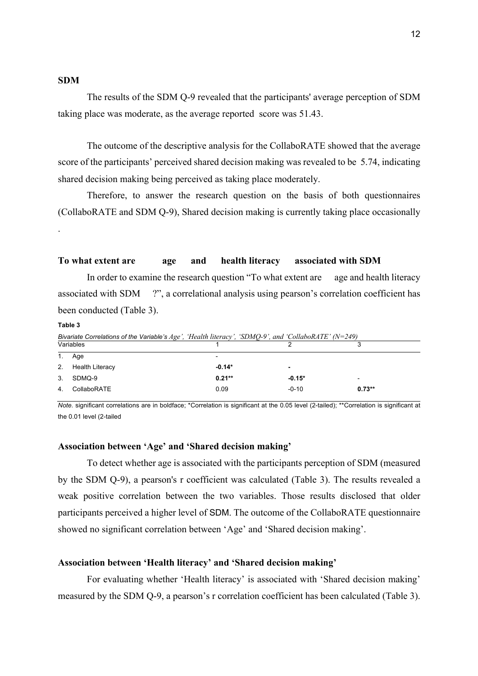#### **SDM**

The results of the SDM Q-9 revealed that the participants' average perception of SDM taking place was moderate, as the average reported score was 51.43.

The outcome of the descriptive analysis for the CollaboRATE showed that the average score of the participants' perceived shared decision making was revealed to be 5.74, indicating shared decision making being perceived as taking place moderately.

Therefore, to answer the research question on the basis of both questionnaires (CollaboRATE and SDM Q-9), Shared decision making is currently taking place occasionally .

#### **To what extent are age and health literacy associated with SDM**

In order to examine the research question "To what extent are age and health literacy associated with SDM ?", a correlational analysis using pearson's correlation coefficient has been conducted (Table 3).

**Table 3**

*Bivariate Correlations of the Variable's Age', 'Health literacy', 'SDMQ-9', and 'CollaboRATE' (N=249)*

| Variables |                        |                          |          | ີ<br>ື                   |
|-----------|------------------------|--------------------------|----------|--------------------------|
| 1.        | Age                    | $\overline{\phantom{0}}$ |          |                          |
| 2.        | <b>Health Literacy</b> | $-0.14*$                 | ٠        |                          |
|           | 3. SDMQ-9              | $0.21**$                 | $-0.15*$ | $\overline{\phantom{0}}$ |
| 4.        | CollaboRATE            | 0.09                     | $-0-10$  | $0.73**$                 |

*Note.* significant correlations are in boldface; \*Correlation is significant at the 0.05 level (2-tailed); \*\*Correlation is significant at the 0.01 level (2-tailed

#### **Association between 'Age' and 'Shared decision making'**

To detect whether age is associated with the participants perception of SDM (measured by the SDM Q-9), a pearson's r coefficient was calculated (Table 3). The results revealed a weak positive correlation between the two variables. Those results disclosed that older participants perceived a higher level of SDM. The outcome of the CollaboRATE questionnaire showed no significant correlation between 'Age' and 'Shared decision making'.

# **Association between 'Health literacy' and 'Shared decision making'**

For evaluating whether 'Health literacy' is associated with 'Shared decision making' measured by the SDM Q-9, a pearson's r correlation coefficient has been calculated (Table 3).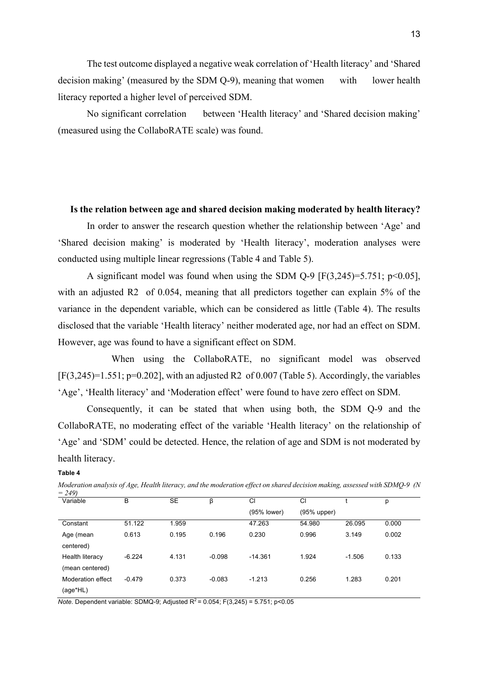The test outcome displayed a negative weak correlation of 'Health literacy' and 'Shared decision making' (measured by the SDM O-9), meaning that women with lower health literacy reported a higher level of perceived SDM.

No significant correlation between 'Health literacy' and 'Shared decision making' (measured using the CollaboRATE scale) was found.

#### **Is the relation between age and shared decision making moderated by health literacy?**

In order to answer the research question whether the relationship between 'Age' and 'Shared decision making' is moderated by 'Health literacy', moderation analyses were conducted using multiple linear regressions (Table 4 and Table 5).

A significant model was found when using the SDM Q-9  $[F(3,245)=5.751; p<0.05]$ , with an adjusted R2 of 0.054, meaning that all predictors together can explain 5% of the variance in the dependent variable, which can be considered as little (Table 4). The results disclosed that the variable 'Health literacy' neither moderated age, nor had an effect on SDM. However, age was found to have a significant effect on SDM.

 When using the CollaboRATE, no significant model was observed  $[F(3,245)=1.551; p=0.202]$ , with an adjusted R2 of 0.007 (Table 5). Accordingly, the variables 'Age', 'Health literacy' and 'Moderation effect' were found to have zero effect on SDM.

Consequently, it can be stated that when using both, the SDM Q-9 and the CollaboRATE, no moderating effect of the variable 'Health literacy' on the relationship of 'Age' and 'SDM' could be detected. Hence, the relation of age and SDM is not moderated by health literacy.

#### **Table 4**

*Moderation analysis of Age, Health literacy, and the moderation effect on shared decision making, assessed with SDMQ-9 (N = 249)*

| Variable          | B        | SE    | β        | CI          | CI          |          | р     |
|-------------------|----------|-------|----------|-------------|-------------|----------|-------|
|                   |          |       |          | (95% lower) | (95% upper) |          |       |
| Constant          | 51.122   | 1.959 |          | 47.263      | 54.980      | 26.095   | 0.000 |
| Age (mean         | 0.613    | 0.195 | 0.196    | 0.230       | 0.996       | 3.149    | 0.002 |
| centered)         |          |       |          |             |             |          |       |
| Health literacy   | $-6.224$ | 4.131 | $-0.098$ | $-14.361$   | 1.924       | $-1.506$ | 0.133 |
| (mean centered)   |          |       |          |             |             |          |       |
| Moderation effect | $-0.479$ | 0.373 | $-0.083$ | $-1.213$    | 0.256       | 1.283    | 0.201 |
| (age*HL)          |          |       |          |             |             |          |       |

*Note.* Dependent variable: SDMQ-9; Adjusted  $R^2 = 0.054$ ; F(3,245) = 5.751; p<0.05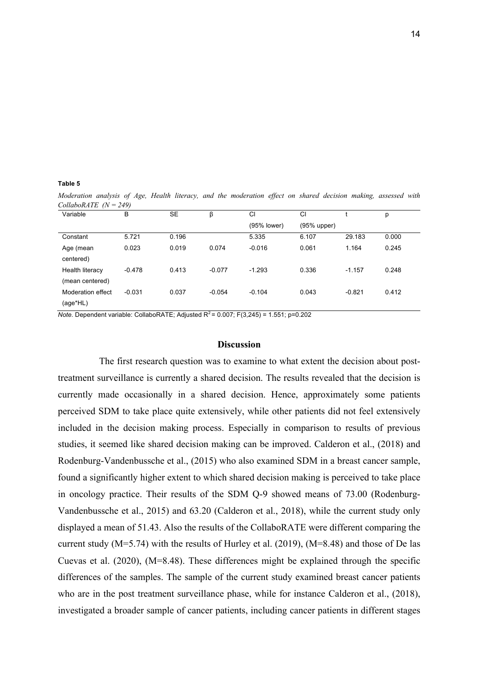**Table 5**

*Moderation analysis of Age, Health literacy, and the moderation effect on shared decision making, assessed with CollaboRATE (N = 249)*

| Variable          | B        | <b>SE</b> | β        | CI          | CI          |          | р     |
|-------------------|----------|-----------|----------|-------------|-------------|----------|-------|
|                   |          |           |          | (95% lower) | (95% upper) |          |       |
| Constant          | 5.721    | 0.196     |          | 5.335       | 6.107       | 29.183   | 0.000 |
| Age (mean         | 0.023    | 0.019     | 0.074    | $-0.016$    | 0.061       | 1.164    | 0.245 |
| centered)         |          |           |          |             |             |          |       |
| Health literacy   | $-0.478$ | 0.413     | $-0.077$ | $-1.293$    | 0.336       | $-1.157$ | 0.248 |
| (mean centered)   |          |           |          |             |             |          |       |
| Moderation effect | $-0.031$ | 0.037     | $-0.054$ | $-0.104$    | 0.043       | $-0.821$ | 0.412 |
| (age*HL)          |          |           |          |             |             |          |       |

*Note.* Dependent variable: CollaboRATE; Adjusted  $R^2 = 0.007$ ; F(3,245) = 1.551; p=0.202

#### **Discussion**

 The first research question was to examine to what extent the decision about posttreatment surveillance is currently a shared decision. The results revealed that the decision is currently made occasionally in a shared decision. Hence, approximately some patients perceived SDM to take place quite extensively, while other patients did not feel extensively included in the decision making process. Especially in comparison to results of previous studies, it seemed like shared decision making can be improved. Calderon et al., (2018) and Rodenburg-Vandenbussche et al., (2015) who also examined SDM in a breast cancer sample, found a significantly higher extent to which shared decision making is perceived to take place in oncology practice. Their results of the SDM Q-9 showed means of 73.00 (Rodenburg-Vandenbussche et al., 2015) and 63.20 (Calderon et al., 2018), while the current study only displayed a mean of 51.43. Also the results of the CollaboRATE were different comparing the current study (M=5.74) with the results of Hurley et al. (2019), (M=8.48) and those of De las Cuevas et al. (2020), (M=8.48). These differences might be explained through the specific differences of the samples. The sample of the current study examined breast cancer patients who are in the post treatment surveillance phase, while for instance Calderon et al., (2018), investigated a broader sample of cancer patients, including cancer patients in different stages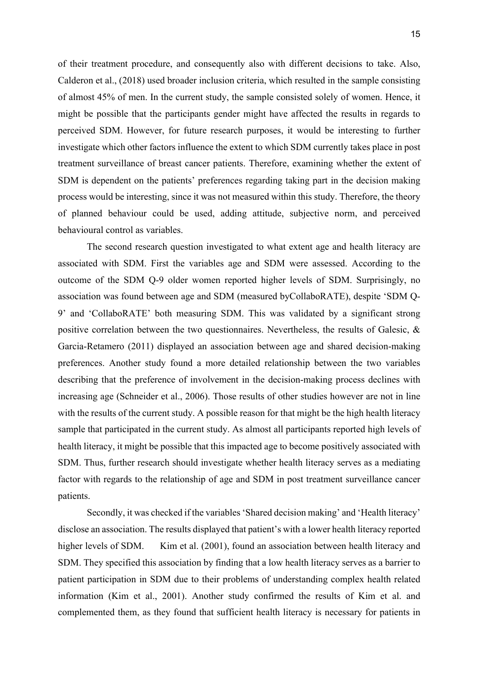of their treatment procedure, and consequently also with different decisions to take. Also, Calderon et al., (2018) used broader inclusion criteria, which resulted in the sample consisting of almost 45% of men. In the current study, the sample consisted solely of women. Hence, it might be possible that the participants gender might have affected the results in regards to perceived SDM. However, for future research purposes, it would be interesting to further investigate which other factors influence the extent to which SDM currently takes place in post treatment surveillance of breast cancer patients. Therefore, examining whether the extent of SDM is dependent on the patients' preferences regarding taking part in the decision making process would be interesting, since it was not measured within this study. Therefore, the theory of planned behaviour could be used, adding attitude, subjective norm, and perceived behavioural control as variables.

The second research question investigated to what extent age and health literacy are associated with SDM. First the variables age and SDM were assessed. According to the outcome of the SDM Q-9 older women reported higher levels of SDM. Surprisingly, no association was found between age and SDM (measured byCollaboRATE), despite 'SDM Q-9' and 'CollaboRATE' both measuring SDM. This was validated by a significant strong positive correlation between the two questionnaires. Nevertheless, the results of Galesic, & Garcia-Retamero (2011) displayed an association between age and shared decision-making preferences. Another study found a more detailed relationship between the two variables describing that the preference of involvement in the decision-making process declines with increasing age (Schneider et al., 2006). Those results of other studies however are not in line with the results of the current study. A possible reason for that might be the high health literacy sample that participated in the current study. As almost all participants reported high levels of health literacy, it might be possible that this impacted age to become positively associated with SDM. Thus, further research should investigate whether health literacy serves as a mediating factor with regards to the relationship of age and SDM in post treatment surveillance cancer patients.

Secondly, it was checked if the variables 'Shared decision making' and 'Health literacy' disclose an association. The results displayed that patient's with a lower health literacy reported higher levels of SDM. Kim et al. (2001), found an association between health literacy and SDM. They specified this association by finding that a low health literacy serves as a barrier to patient participation in SDM due to their problems of understanding complex health related information (Kim et al., 2001). Another study confirmed the results of Kim et al. and complemented them, as they found that sufficient health literacy is necessary for patients in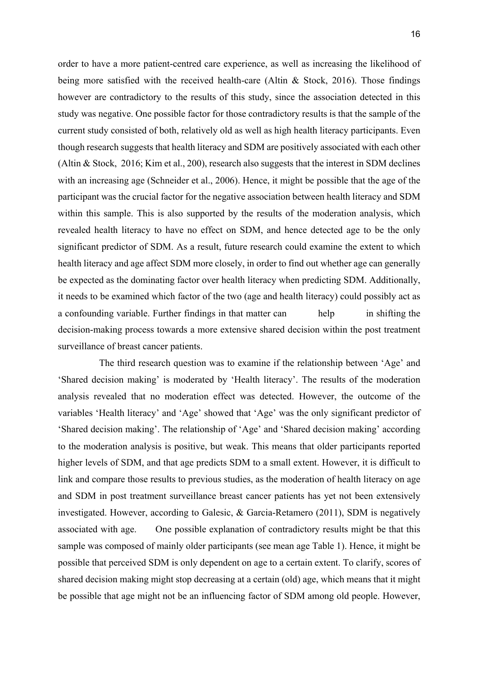order to have a more patient-centred care experience, as well as increasing the likelihood of being more satisfied with the received health-care (Altin & Stock, 2016). Those findings however are contradictory to the results of this study, since the association detected in this study was negative. One possible factor for those contradictory results is that the sample of the current study consisted of both, relatively old as well as high health literacy participants. Even though research suggests that health literacy and SDM are positively associated with each other (Altin & Stock, 2016; Kim et al., 200), research also suggests that the interest in SDM declines with an increasing age (Schneider et al., 2006). Hence, it might be possible that the age of the participant was the crucial factor for the negative association between health literacy and SDM within this sample. This is also supported by the results of the moderation analysis, which revealed health literacy to have no effect on SDM, and hence detected age to be the only significant predictor of SDM. As a result, future research could examine the extent to which health literacy and age affect SDM more closely, in order to find out whether age can generally be expected as the dominating factor over health literacy when predicting SDM. Additionally, it needs to be examined which factor of the two (age and health literacy) could possibly act as a confounding variable. Further findings in that matter can help in shifting the decision-making process towards a more extensive shared decision within the post treatment surveillance of breast cancer patients.

 The third research question was to examine if the relationship between 'Age' and 'Shared decision making' is moderated by 'Health literacy'. The results of the moderation analysis revealed that no moderation effect was detected. However, the outcome of the variables 'Health literacy' and 'Age' showed that 'Age' was the only significant predictor of 'Shared decision making'. The relationship of 'Age' and 'Shared decision making' according to the moderation analysis is positive, but weak. This means that older participants reported higher levels of SDM, and that age predicts SDM to a small extent. However, it is difficult to link and compare those results to previous studies, as the moderation of health literacy on age and SDM in post treatment surveillance breast cancer patients has yet not been extensively investigated. However, according to Galesic, & Garcia-Retamero (2011), SDM is negatively associated with age. One possible explanation of contradictory results might be that this sample was composed of mainly older participants (see mean age Table 1). Hence, it might be possible that perceived SDM is only dependent on age to a certain extent. To clarify, scores of shared decision making might stop decreasing at a certain (old) age, which means that it might be possible that age might not be an influencing factor of SDM among old people. However,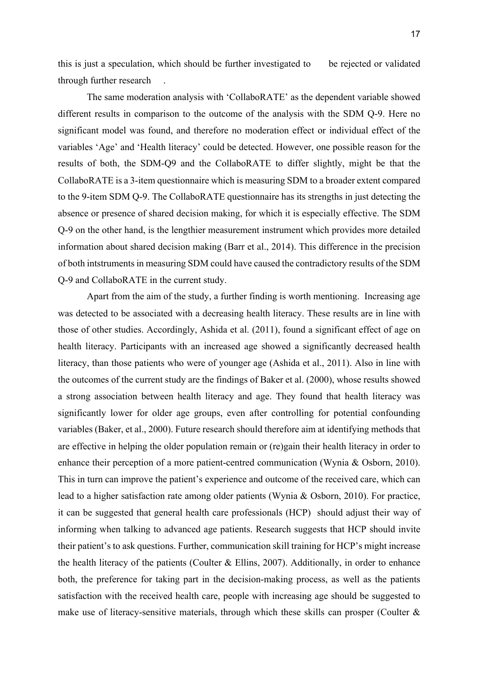this is just a speculation, which should be further investigated to be rejected or validated through further research .

The same moderation analysis with 'CollaboRATE' as the dependent variable showed different results in comparison to the outcome of the analysis with the SDM Q-9. Here no significant model was found, and therefore no moderation effect or individual effect of the variables 'Age' and 'Health literacy' could be detected. However, one possible reason for the results of both, the SDM-Q9 and the CollaboRATE to differ slightly, might be that the CollaboRATE is a 3-item questionnaire which is measuring SDM to a broader extent compared to the 9-item SDM Q-9. The CollaboRATE questionnaire has its strengths in just detecting the absence or presence of shared decision making, for which it is especially effective. The SDM Q-9 on the other hand, is the lengthier measurement instrument which provides more detailed information about shared decision making (Barr et al., 2014). This difference in the precision of both intstruments in measuring SDM could have caused the contradictory results of the SDM Q-9 and CollaboRATE in the current study.

Apart from the aim of the study, a further finding is worth mentioning. Increasing age was detected to be associated with a decreasing health literacy. These results are in line with those of other studies. Accordingly, Ashida et al. (2011), found a significant effect of age on health literacy. Participants with an increased age showed a significantly decreased health literacy, than those patients who were of younger age (Ashida et al., 2011). Also in line with the outcomes of the current study are the findings of Baker et al. (2000), whose results showed a strong association between health literacy and age. They found that health literacy was significantly lower for older age groups, even after controlling for potential confounding variables (Baker, et al., 2000). Future research should therefore aim at identifying methods that are effective in helping the older population remain or (re)gain their health literacy in order to enhance their perception of a more patient-centred communication (Wynia & Osborn, 2010). This in turn can improve the patient's experience and outcome of the received care, which can lead to a higher satisfaction rate among older patients (Wynia & Osborn, 2010). For practice, it can be suggested that general health care professionals (HCP) should adjust their way of informing when talking to advanced age patients. Research suggests that HCP should invite their patient's to ask questions. Further, communication skill training for HCP's might increase the health literacy of the patients (Coulter & Ellins, 2007). Additionally, in order to enhance both, the preference for taking part in the decision-making process, as well as the patients satisfaction with the received health care, people with increasing age should be suggested to make use of literacy-sensitive materials, through which these skills can prosper (Coulter  $\&$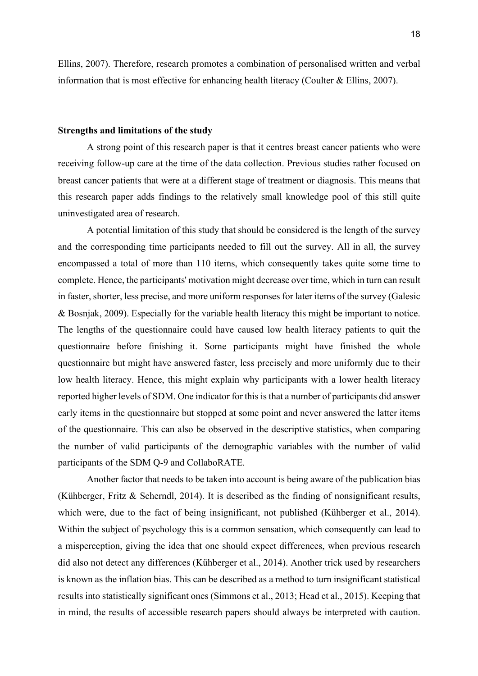Ellins, 2007). Therefore, research promotes a combination of personalised written and verbal information that is most effective for enhancing health literacy (Coulter & Ellins, 2007).

#### **Strengths and limitations of the study**

A strong point of this research paper is that it centres breast cancer patients who were receiving follow-up care at the time of the data collection. Previous studies rather focused on breast cancer patients that were at a different stage of treatment or diagnosis. This means that this research paper adds findings to the relatively small knowledge pool of this still quite uninvestigated area of research.

A potential limitation of this study that should be considered is the length of the survey and the corresponding time participants needed to fill out the survey. All in all, the survey encompassed a total of more than 110 items, which consequently takes quite some time to complete. Hence, the participants' motivation might decrease over time, which in turn can result in faster, shorter, less precise, and more uniform responses for later items of the survey (Galesic & Bosnjak, 2009). Especially for the variable health literacy this might be important to notice. The lengths of the questionnaire could have caused low health literacy patients to quit the questionnaire before finishing it. Some participants might have finished the whole questionnaire but might have answered faster, less precisely and more uniformly due to their low health literacy. Hence, this might explain why participants with a lower health literacy reported higher levels of SDM. One indicator for this is that a number of participants did answer early items in the questionnaire but stopped at some point and never answered the latter items of the questionnaire. This can also be observed in the descriptive statistics, when comparing the number of valid participants of the demographic variables with the number of valid participants of the SDM Q-9 and CollaboRATE.

Another factor that needs to be taken into account is being aware of the publication bias (Kühberger, Fritz & Scherndl, 2014). It is described as the finding of nonsignificant results, which were, due to the fact of being insignificant, not published (Kühberger et al., 2014). Within the subject of psychology this is a common sensation, which consequently can lead to a misperception, giving the idea that one should expect differences, when previous research did also not detect any differences (Kühberger et al., 2014). Another trick used by researchers is known as the inflation bias. This can be described as a method to turn insignificant statistical results into statistically significant ones (Simmons et al., 2013; Head et al., 2015). Keeping that in mind, the results of accessible research papers should always be interpreted with caution.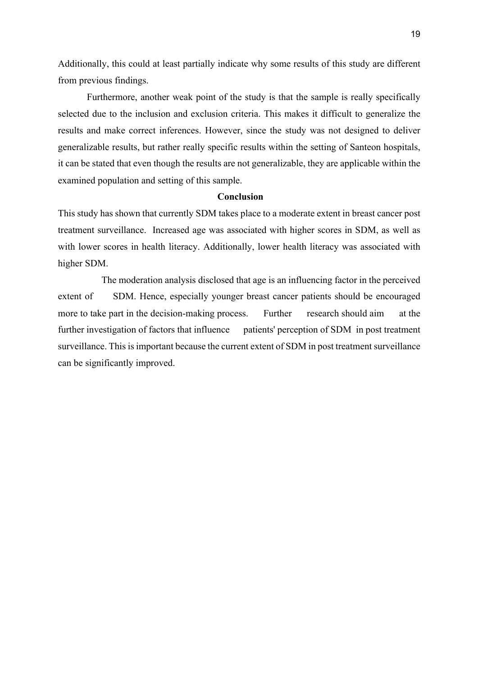Additionally, this could at least partially indicate why some results of this study are different from previous findings.

Furthermore, another weak point of the study is that the sample is really specifically selected due to the inclusion and exclusion criteria. This makes it difficult to generalize the results and make correct inferences. However, since the study was not designed to deliver generalizable results, but rather really specific results within the setting of Santeon hospitals, it can be stated that even though the results are not generalizable, they are applicable within the examined population and setting of this sample.

### **Conclusion**

This study has shown that currently SDM takes place to a moderate extent in breast cancer post treatment surveillance. Increased age was associated with higher scores in SDM, as well as with lower scores in health literacy. Additionally, lower health literacy was associated with higher SDM.

 The moderation analysis disclosed that age is an influencing factor in the perceived extent of SDM. Hence, especially younger breast cancer patients should be encouraged more to take part in the decision-making process. Further research should aim at the further investigation of factors that influence patients' perception of SDM in post treatment surveillance. This is important because the current extent of SDM in post treatment surveillance can be significantly improved.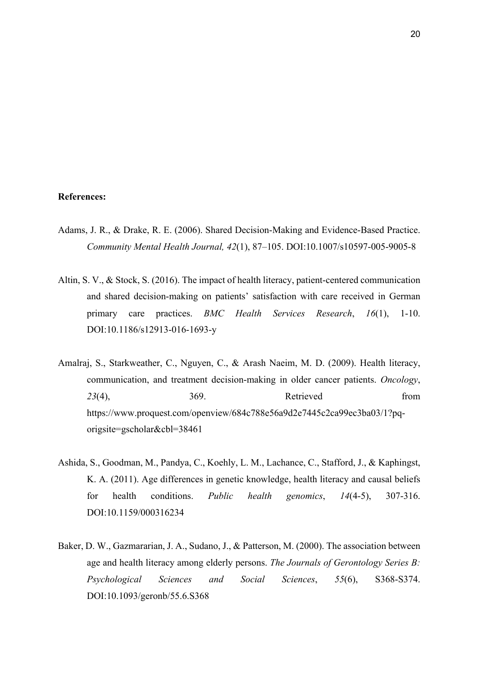#### **References:**

- Adams, J. R., & Drake, R. E. (2006). Shared Decision-Making and Evidence-Based Practice. *Community Mental Health Journal, 42*(1), 87–105. DOI:10.1007/s10597-005-9005-8
- Altin, S. V., & Stock, S. (2016). The impact of health literacy, patient-centered communication and shared decision-making on patients' satisfaction with care received in German primary care practices. *BMC Health Services Research*, *16*(1), 1-10. DOI:10.1186/s12913-016-1693-y
- Amalraj, S., Starkweather, C., Nguyen, C., & Arash Naeim, M. D. (2009). Health literacy, communication, and treatment decision-making in older cancer patients. *Oncology*, 23(4), 369. Retrieved from https://www.proquest.com/openview/684c788e56a9d2e7445c2ca99ec3ba03/1?pqorigsite=gscholar&cbl=38461
- Ashida, S., Goodman, M., Pandya, C., Koehly, L. M., Lachance, C., Stafford, J., & Kaphingst, K. A. (2011). Age differences in genetic knowledge, health literacy and causal beliefs for health conditions. *Public health genomics*, *14*(4-5), 307-316. DOI:10.1159/000316234
- Baker, D. W., Gazmararian, J. A., Sudano, J., & Patterson, M. (2000). The association between age and health literacy among elderly persons. *The Journals of Gerontology Series B: Psychological Sciences and Social Sciences*, *55*(6), S368-S374. DOI:10.1093/geronb/55.6.S368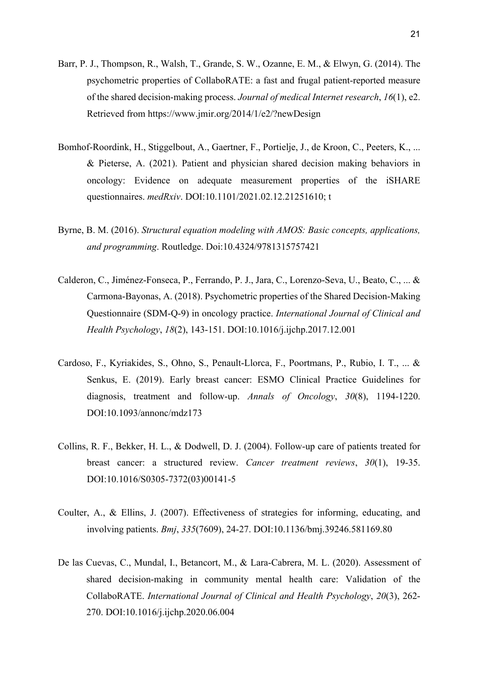- Barr, P. J., Thompson, R., Walsh, T., Grande, S. W., Ozanne, E. M., & Elwyn, G. (2014). The psychometric properties of CollaboRATE: a fast and frugal patient-reported measure of the shared decision-making process. *Journal of medical Internet research*, *16*(1), e2. Retrieved from https://www.jmir.org/2014/1/e2/?newDesign
- Bomhof-Roordink, H., Stiggelbout, A., Gaertner, F., Portielje, J., de Kroon, C., Peeters, K., ... & Pieterse, A. (2021). Patient and physician shared decision making behaviors in oncology: Evidence on adequate measurement properties of the iSHARE questionnaires. *medRxiv*. DOI:10.1101/2021.02.12.21251610; t
- Byrne, B. M. (2016). *Structural equation modeling with AMOS: Basic concepts, applications, and programming*. Routledge. Doi:10.4324/9781315757421
- Calderon, C., Jiménez-Fonseca, P., Ferrando, P. J., Jara, C., Lorenzo-Seva, U., Beato, C., ... & Carmona-Bayonas, A. (2018). Psychometric properties of the Shared Decision-Making Questionnaire (SDM-Q-9) in oncology practice. *International Journal of Clinical and Health Psychology*, *18*(2), 143-151. DOI:10.1016/j.ijchp.2017.12.001
- Cardoso, F., Kyriakides, S., Ohno, S., Penault-Llorca, F., Poortmans, P., Rubio, I. T., ... & Senkus, E. (2019). Early breast cancer: ESMO Clinical Practice Guidelines for diagnosis, treatment and follow-up. *Annals of Oncology*, *30*(8), 1194-1220. DOI:10.1093/annonc/mdz173
- Collins, R. F., Bekker, H. L., & Dodwell, D. J. (2004). Follow-up care of patients treated for breast cancer: a structured review. *Cancer treatment reviews*, *30*(1), 19-35. DOI:10.1016/S0305-7372(03)00141-5
- Coulter, A., & Ellins, J. (2007). Effectiveness of strategies for informing, educating, and involving patients. *Bmj*, *335*(7609), 24-27. DOI:10.1136/bmj.39246.581169.80
- De las Cuevas, C., Mundal, I., Betancort, M., & Lara-Cabrera, M. L. (2020). Assessment of shared decision-making in community mental health care: Validation of the CollaboRATE. *International Journal of Clinical and Health Psychology*, *20*(3), 262- 270. DOI:10.1016/j.ijchp.2020.06.004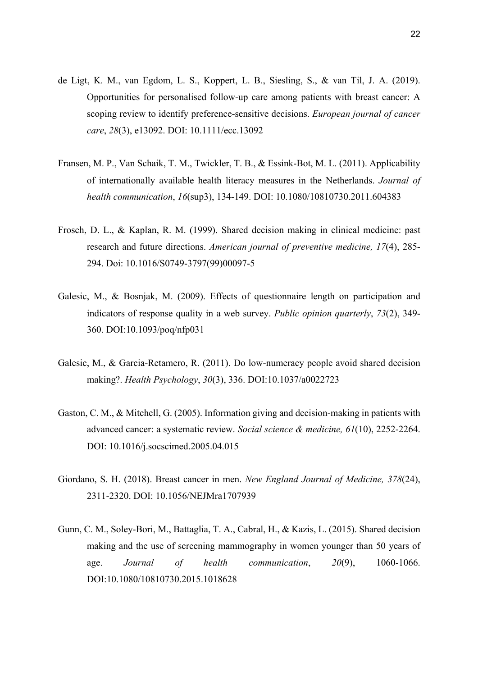- de Ligt, K. M., van Egdom, L. S., Koppert, L. B., Siesling, S., & van Til, J. A. (2019). Opportunities for personalised follow‐up care among patients with breast cancer: A scoping review to identify preference‐sensitive decisions. *European journal of cancer care*, *28*(3), e13092. DOI: 10.1111/ecc.13092
- Fransen, M. P., Van Schaik, T. M., Twickler, T. B., & Essink-Bot, M. L. (2011). Applicability of internationally available health literacy measures in the Netherlands. *Journal of health communication*, *16*(sup3), 134-149. DOI: 10.1080/10810730.2011.604383
- Frosch, D. L., & Kaplan, R. M. (1999). Shared decision making in clinical medicine: past research and future directions. *American journal of preventive medicine, 17*(4), 285- 294. Doi: 10.1016/S0749-3797(99)00097-5
- Galesic, M., & Bosnjak, M. (2009). Effects of questionnaire length on participation and indicators of response quality in a web survey. *Public opinion quarterly*, *73*(2), 349- 360. DOI:10.1093/poq/nfp031
- Galesic, M., & Garcia-Retamero, R. (2011). Do low-numeracy people avoid shared decision making?. *Health Psychology*, *30*(3), 336. DOI:10.1037/a0022723
- Gaston, C. M., & Mitchell, G. (2005). Information giving and decision-making in patients with advanced cancer: a systematic review. *Social science & medicine, 61*(10), 2252-2264. DOI: 10.1016/j.socscimed.2005.04.015
- Giordano, S. H. (2018). Breast cancer in men. *New England Journal of Medicine, 378*(24), 2311-2320. DOI: 10.1056/NEJMra1707939
- Gunn, C. M., Soley-Bori, M., Battaglia, T. A., Cabral, H., & Kazis, L. (2015). Shared decision making and the use of screening mammography in women younger than 50 years of age. *Journal of health communication*, *20*(9), 1060-1066. DOI:10.1080/10810730.2015.1018628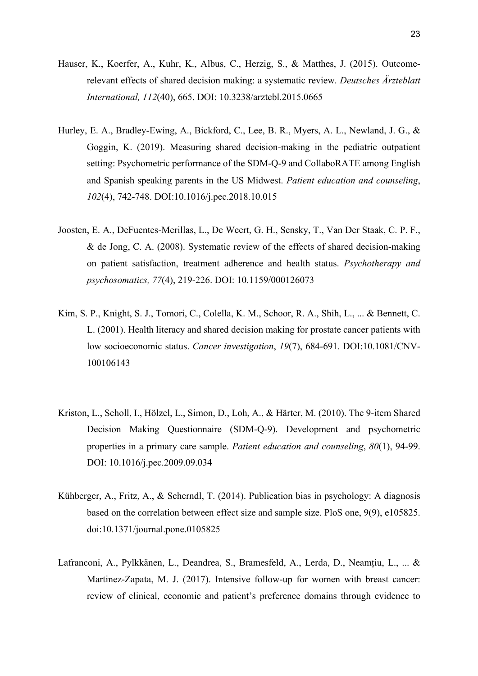- Hauser, K., Koerfer, A., Kuhr, K., Albus, C., Herzig, S., & Matthes, J. (2015). Outcomerelevant effects of shared decision making: a systematic review. *Deutsches Ärzteblatt International, 112*(40), 665. DOI: 10.3238/arztebl.2015.0665
- Hurley, E. A., Bradley-Ewing, A., Bickford, C., Lee, B. R., Myers, A. L., Newland, J. G., & Goggin, K. (2019). Measuring shared decision-making in the pediatric outpatient setting: Psychometric performance of the SDM-Q-9 and CollaboRATE among English and Spanish speaking parents in the US Midwest. *Patient education and counseling*, *102*(4), 742-748. DOI:10.1016/j.pec.2018.10.015
- Joosten, E. A., DeFuentes-Merillas, L., De Weert, G. H., Sensky, T., Van Der Staak, C. P. F., & de Jong, C. A. (2008). Systematic review of the effects of shared decision-making on patient satisfaction, treatment adherence and health status. *Psychotherapy and psychosomatics, 77*(4), 219-226. DOI: 10.1159/000126073
- Kim, S. P., Knight, S. J., Tomori, C., Colella, K. M., Schoor, R. A., Shih, L., ... & Bennett, C. L. (2001). Health literacy and shared decision making for prostate cancer patients with low socioeconomic status. *Cancer investigation*, *19*(7), 684-691. DOI:10.1081/CNV-100106143
- Kriston, L., Scholl, I., Hölzel, L., Simon, D., Loh, A., & Härter, M. (2010). The 9-item Shared Decision Making Questionnaire (SDM-Q-9). Development and psychometric properties in a primary care sample. *Patient education and counseling*, *80*(1), 94-99. DOI: 10.1016/j.pec.2009.09.034
- Kühberger, A., Fritz, A., & Scherndl, T. (2014). Publication bias in psychology: A diagnosis based on the correlation between effect size and sample size. PloS one, 9(9), e105825. doi:10.1371/journal.pone.0105825
- Lafranconi, A., Pylkkänen, L., Deandrea, S., Bramesfeld, A., Lerda, D., Neamțiu, L., ... & Martinez-Zapata, M. J. (2017). Intensive follow-up for women with breast cancer: review of clinical, economic and patient's preference domains through evidence to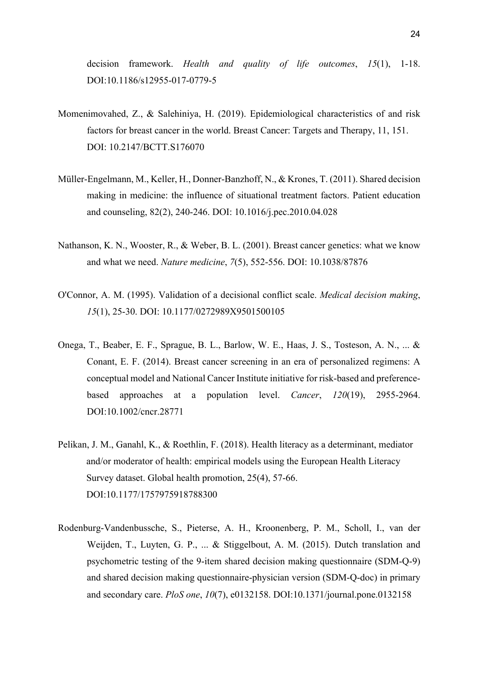decision framework. *Health and quality of life outcomes*, *15*(1), 1-18. DOI:10.1186/s12955-017-0779-5

- Momenimovahed, Z., & Salehiniya, H. (2019). Epidemiological characteristics of and risk factors for breast cancer in the world. Breast Cancer: Targets and Therapy, 11, 151. DOI: 10.2147/BCTT.S176070
- Müller-Engelmann, M., Keller, H., Donner-Banzhoff, N., & Krones, T. (2011). Shared decision making in medicine: the influence of situational treatment factors. Patient education and counseling, 82(2), 240-246. DOI: 10.1016/j.pec.2010.04.028
- Nathanson, K. N., Wooster, R., & Weber, B. L. (2001). Breast cancer genetics: what we know and what we need. *Nature medicine*, *7*(5), 552-556. DOI: 10.1038/87876
- O'Connor, A. M. (1995). Validation of a decisional conflict scale. *Medical decision making*, *15*(1), 25-30. DOI: 10.1177/0272989X9501500105
- Onega, T., Beaber, E. F., Sprague, B. L., Barlow, W. E., Haas, J. S., Tosteson, A. N., ... & Conant, E. F. (2014). Breast cancer screening in an era of personalized regimens: A conceptual model and National Cancer Institute initiative for risk‐based and preference‐ based approaches at a population level. *Cancer*, *120*(19), 2955-2964. DOI:10.1002/cncr.28771
- Pelikan, J. M., Ganahl, K., & Roethlin, F. (2018). Health literacy as a determinant, mediator and/or moderator of health: empirical models using the European Health Literacy Survey dataset. Global health promotion, 25(4), 57-66. DOI:10.1177/1757975918788300
- Rodenburg-Vandenbussche, S., Pieterse, A. H., Kroonenberg, P. M., Scholl, I., van der Weijden, T., Luyten, G. P., ... & Stiggelbout, A. M. (2015). Dutch translation and psychometric testing of the 9-item shared decision making questionnaire (SDM-Q-9) and shared decision making questionnaire-physician version (SDM-Q-doc) in primary and secondary care. *PloS one*, *10*(7), e0132158. DOI:10.1371/journal.pone.0132158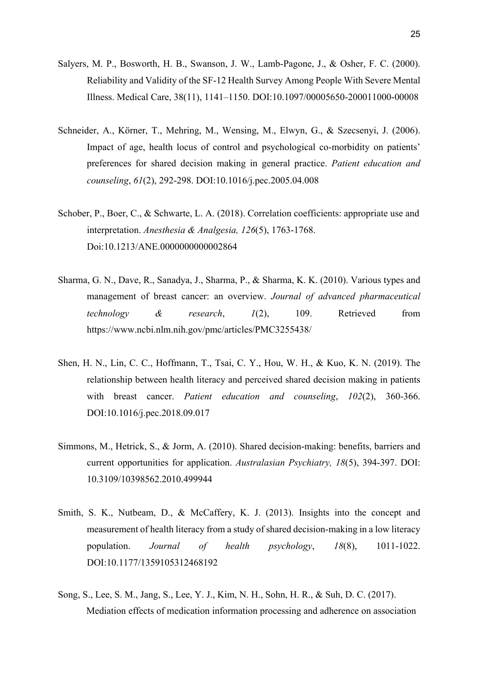- Salyers, M. P., Bosworth, H. B., Swanson, J. W., Lamb-Pagone, J., & Osher, F. C. (2000). Reliability and Validity of the SF-12 Health Survey Among People With Severe Mental Illness. Medical Care, 38(11), 1141–1150. DOI:10.1097/00005650-200011000-00008
- Schneider, A., Körner, T., Mehring, M., Wensing, M., Elwyn, G., & Szecsenyi, J. (2006). Impact of age, health locus of control and psychological co-morbidity on patients' preferences for shared decision making in general practice. *Patient education and counseling*, *61*(2), 292-298. DOI:10.1016/j.pec.2005.04.008
- Schober, P., Boer, C., & Schwarte, L. A. (2018). Correlation coefficients: appropriate use and interpretation. *Anesthesia & Analgesia, 126*(5), 1763-1768. Doi:10.1213/ANE.0000000000002864
- Sharma, G. N., Dave, R., Sanadya, J., Sharma, P., & Sharma, K. K. (2010). Various types and management of breast cancer: an overview. *Journal of advanced pharmaceutical technology & research*, *1*(2), 109. Retrieved from https://www.ncbi.nlm.nih.gov/pmc/articles/PMC3255438/
- Shen, H. N., Lin, C. C., Hoffmann, T., Tsai, C. Y., Hou, W. H., & Kuo, K. N. (2019). The relationship between health literacy and perceived shared decision making in patients with breast cancer. *Patient education and counseling*, *102*(2), 360-366. DOI:10.1016/j.pec.2018.09.017
- Simmons, M., Hetrick, S., & Jorm, A. (2010). Shared decision-making: benefits, barriers and current opportunities for application. *Australasian Psychiatry, 18*(5), 394-397. DOI: 10.3109/10398562.2010.499944
- Smith, S. K., Nutbeam, D., & McCaffery, K. J. (2013). Insights into the concept and measurement of health literacy from a study of shared decision-making in a low literacy population. *Journal of health psychology*, *18*(8), 1011-1022. DOI:10.1177/1359105312468192
- Song, S., Lee, S. M., Jang, S., Lee, Y. J., Kim, N. H., Sohn, H. R., & Suh, D. C. (2017). Mediation effects of medication information processing and adherence on association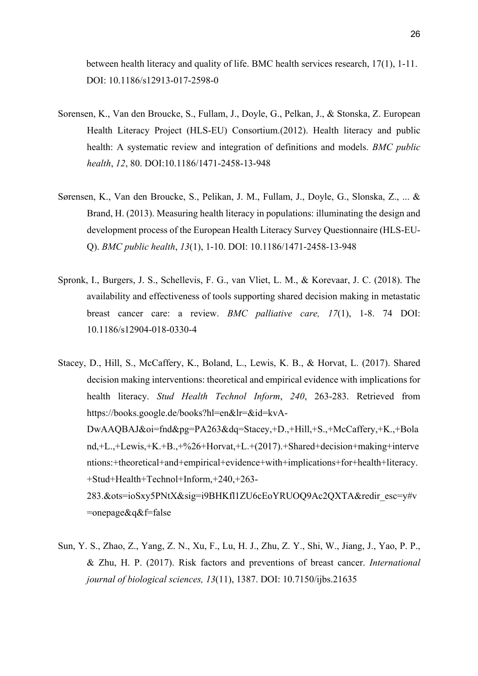between health literacy and quality of life. BMC health services research, 17(1), 1-11. DOI: 10.1186/s12913-017-2598-0

- Sorensen, K., Van den Broucke, S., Fullam, J., Doyle, G., Pelkan, J., & Stonska, Z. European Health Literacy Project (HLS-EU) Consortium.(2012). Health literacy and public health: A systematic review and integration of definitions and models. *BMC public health*, *12*, 80. DOI:10.1186/1471-2458-13-948
- Sørensen, K., Van den Broucke, S., Pelikan, J. M., Fullam, J., Doyle, G., Slonska, Z., ... & Brand, H. (2013). Measuring health literacy in populations: illuminating the design and development process of the European Health Literacy Survey Questionnaire (HLS-EU-Q). *BMC public health*, *13*(1), 1-10. DOI: 10.1186/1471-2458-13-948
- Spronk, I., Burgers, J. S., Schellevis, F. G., van Vliet, L. M., & Korevaar, J. C. (2018). The availability and effectiveness of tools supporting shared decision making in metastatic breast cancer care: a review. *BMC palliative care, 17*(1), 1-8. 74 DOI: 10.1186/s12904-018-0330-4
- Stacey, D., Hill, S., McCaffery, K., Boland, L., Lewis, K. B., & Horvat, L. (2017). Shared decision making interventions: theoretical and empirical evidence with implications for health literacy. *Stud Health Technol Inform*, *240*, 263-283. Retrieved from https://books.google.de/books?hl=en&lr=&id=kvA-DwAAQBAJ&oi=fnd&pg=PA263&dq=Stacey,+D.,+Hill,+S.,+McCaffery,+K.,+Bola nd,+L.,+Lewis,+K.+B.,+%26+Horvat,+L.+(2017).+Shared+decision+making+interve ntions:+theoretical+and+empirical+evidence+with+implications+for+health+literacy. +Stud+Health+Technol+Inform,+240,+263- 283.&ots=ioSxy5PNtX&sig=i9BHKfl1ZU6cEoYRUOQ9Ac2QXTA&redir\_esc=y#v =onepage&q&f=false
- Sun, Y. S., Zhao, Z., Yang, Z. N., Xu, F., Lu, H. J., Zhu, Z. Y., Shi, W., Jiang, J., Yao, P. P., & Zhu, H. P. (2017). Risk factors and preventions of breast cancer. *International journal of biological sciences, 13*(11), 1387. DOI: 10.7150/ijbs.21635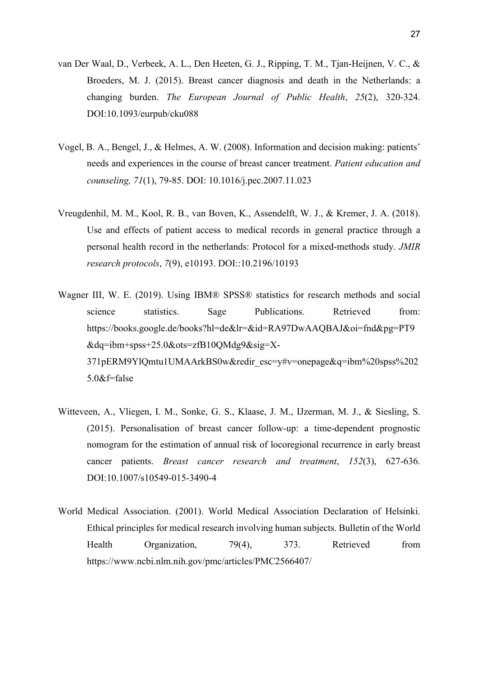- van Der Waal, D., Verbeek, A. L., Den Heeten, G. J., Ripping, T. M., Tjan-Heijnen, V. C., & Broeders, M. J. (2015). Breast cancer diagnosis and death in the Netherlands: a changing burden. *The European Journal of Public Health*, *25*(2), 320-324. DOI:10.1093/eurpub/cku088
- Vogel, B. A., Bengel, J., & Helmes, A. W. (2008). Information and decision making: patients' needs and experiences in the course of breast cancer treatment. *Patient education and counseling, 71*(1), 79-85. DOI: 10.1016/j.pec.2007.11.023
- Vreugdenhil, M. M., Kool, R. B., van Boven, K., Assendelft, W. J., & Kremer, J. A. (2018). Use and effects of patient access to medical records in general practice through a personal health record in the netherlands: Protocol for a mixed-methods study. *JMIR research protocols*, *7*(9), e10193. DOI::10.2196/10193
- Wagner III, W. E. (2019). Using IBM® SPSS® statistics for research methods and social science statistics. Sage Publications. Retrieved from: https://books.google.de/books?hl=de&lr=&id=RA97DwAAQBAJ&oi=fnd&pg=PT9 &dq=ibm+spss+25.0&ots=zfB10QMdg9&sig=X-371pERM9YlQmtu1UMAArkBS0w&redir\_esc=y#v=onepage&q=ibm%20spss%202 5.0&f=false
- Witteveen, A., Vliegen, I. M., Sonke, G. S., Klaase, J. M., IJzerman, M. J., & Siesling, S. (2015). Personalisation of breast cancer follow-up: a time-dependent prognostic nomogram for the estimation of annual risk of locoregional recurrence in early breast cancer patients. *Breast cancer research and treatment*, *152*(3), 627-636. DOI:10.1007/s10549-015-3490-4
- World Medical Association. (2001). World Medical Association Declaration of Helsinki. Ethical principles for medical research involving human subjects. Bulletin of the World Health Organization, 79(4), 373. Retrieved from https://www.ncbi.nlm.nih.gov/pmc/articles/PMC2566407/